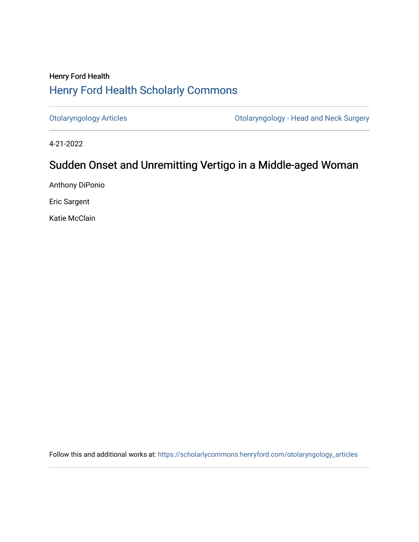# Henry Ford Health [Henry Ford Health Scholarly Commons](https://scholarlycommons.henryford.com/)

[Otolaryngology Articles](https://scholarlycommons.henryford.com/otolaryngology_articles) [Otolaryngology - Head and Neck Surgery](https://scholarlycommons.henryford.com/otolaryngology) 

4-21-2022

# Sudden Onset and Unremitting Vertigo in a Middle-aged Woman

Anthony DiPonio

Eric Sargent

Katie McClain

Follow this and additional works at: [https://scholarlycommons.henryford.com/otolaryngology\\_articles](https://scholarlycommons.henryford.com/otolaryngology_articles?utm_source=scholarlycommons.henryford.com%2Fotolaryngology_articles%2F223&utm_medium=PDF&utm_campaign=PDFCoverPages)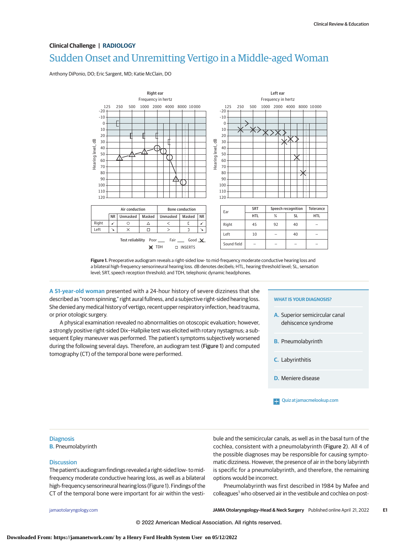# Sudden Onset and Unremitting Vertigo in a Middle-aged Woman **Clinical Challenge | RADIOLOGY**

Anthony DiPonio, DO; Eric Sargent, MD; Katie McClain, DO



**Figure 1.** Preoperative audiogram reveals a right-sided low- to mid-frequency moderate conductive hearing loss and a bilateral high-frequency sensorineural hearing loss. dB denotes decibels; HTL, hearing threshold level; SL, sensation level; SRT, speech reception threshold; and TDH, telephonic dynamic headphones.

**A 51-year-old woman** presented with a 24-hour history of severe dizziness that she described as "room spinning," right aural fullness, and a subjective right-sided hearing loss. She denied any medical history of vertigo, recent upper respiratory infection, head trauma, or prior otologic surgery.

A physical examination revealed no abnormalities on otoscopic evaluation; however, a strongly positive right-sided Dix−Hallpike test was elicited with rotary nystagmus; a subsequent Epley maneuver was performed. The patient's symptoms subjectively worsened during the following several days. Therefore, an audiogram test (Figure 1) and computed tomography (CT) of the temporal bone were performed.

#### **WHAT IS YOUR DIAGNOSIS?**

- **A.** Superior semicircular canal dehiscence syndrome
- **B.** Pneumolabyrinth
- **C.** Labyrinthitis
- **D.** Meniere disease

## **Diagnosis**

**B.** Pneumolabyrinth

### **Discussion**

The patient's audiogram findings revealed a right-sided low- to midfrequency moderate conductive hearing loss, as well as a bilateral high-frequency sensorineural hearing loss (Figure 1). Findings of the CT of the temporal bone were important for air within the vestibule and the semicircular canals, as well as in the basal turn of the cochlea, consistent with a pneumolabyrinth (Figure 2). All 4 of the possible diagnoses may be responsible for causing symptomatic dizziness. However, the presence of air in the bony labyrinth is specific for a pneumolabyrinth, and therefore, the remaining options would be incorrect.

Pneumolabyrinth was first described in 1984 by Mafee and colleagues<sup>1</sup> who observed air in the vestibule and cochlea on post-

[jamaotolaryngology.com](http://www.jamaotolaryngology.com?utm_campaign=articlePDF%26utm_medium=articlePDFlink%26utm_source=articlePDF%26utm_content=jamaoto.2022.0447) **(Reprinted) JAMA Otolaryngology–Head & Neck Surgery** Published online April 21, 2022 **E1**

© 2022 American Medical Association. All rights reserved.

[Quiz at jamacmelookup.com](https://edhub.ama-assn.org/jn-learning/module/10.1001/jamaoto.2022.0447?utm_campaign=articlePDF%26utm_medium=articlePDFlink%26utm_source=articlePDF%26utm_content=jamaoto.2022.0447)